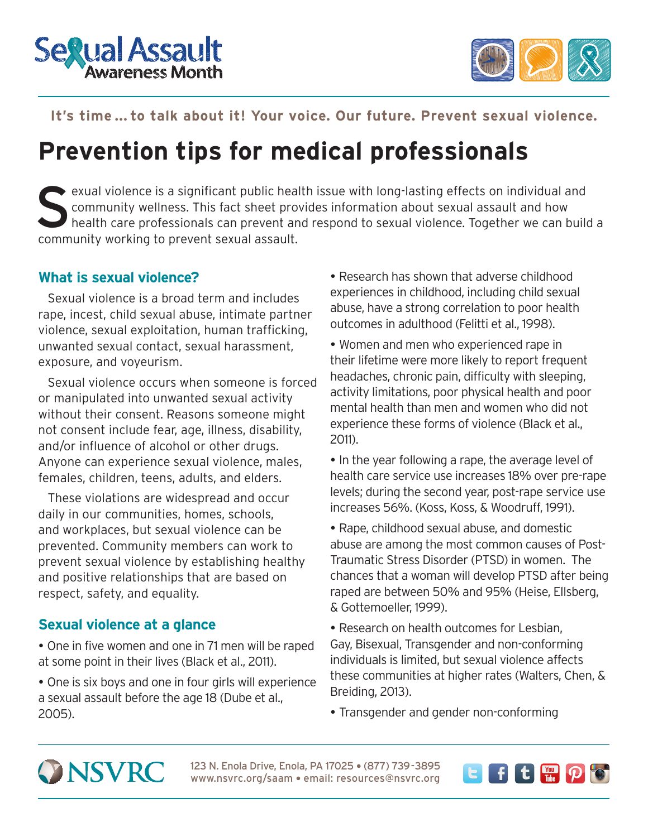



**IT'S TIME ... TO TALK ABOUT IT'S TIME ...** 

## **It's time ... to talk about it! Your voice. Our future. Prevent sexual violence.**

# **Prevention tips for medical professionals**

exual violence is a significant public health issue with long-lasting effects on individual and<br>community wellness. This fact sheet provides information about sexual assault and how<br>health care professionals can prevent an community wellness. This fact sheet provides information about sexual assault and how health care professionals can prevent and respond to sexual violence. Together we can build a community working to prevent sexual assault.

### **What is sexual violence?**

Sexual violence is a broad term and includes rape, incest, child sexual abuse, intimate partner violence, sexual exploitation, human trafficking, unwanted sexual contact, sexual harassment, exposure, and voyeurism.

Sexual violence occurs when someone is forced or manipulated into unwanted sexual activity without their consent. Reasons someone might not consent include fear, age, illness, disability, and/or influence of alcohol or other drugs. Anyone can experience sexual violence, males, females, children, teens, adults, and elders.

These violations are widespread and occur daily in our communities, homes, schools, and workplaces, but sexual violence can be prevented. Community members can work to prevent sexual violence by establishing healthy and positive relationships that are based on respect, safety, and equality.

## **Sexual violence at a glance**

- One in five women and one in 71 men will be raped at some point in their lives (Black et al., 2011).
- One is six boys and one in four girls will experience a sexual assault before the age 18 (Dube et al., 2005).

 Research has shown that adverse childhood experiences in childhood, including child sexual abuse, have a strong correlation to poor health outcomes in adulthood (Felitti et al., 1998).

- Women and men who experienced rape in their lifetime were more likely to report frequent headaches, chronic pain, difficulty with sleeping, activity limitations, poor physical health and poor mental health than men and women who did not experience these forms of violence (Black et al., 2011).
- In the year following a rape, the average level of health care service use increases 18% over pre-rape levels; during the second year, post-rape service use increases 56%. (Koss, Koss, & Woodruff, 1991).
- Rape, childhood sexual abuse, and domestic abuse are among the most common causes of Post-Traumatic Stress Disorder (PTSD) in women. The chances that a woman will develop PTSD after being raped are between 50% and 95% (Heise, Ellsberg, & Gottemoeller, 1999).
- Research on health outcomes for Lesbian, Gay, Bisexual, Transgender and non-conforming individuals is limited, but sexual violence affects these communities at higher rates (Walters, Chen, & Breiding, 2013).
- Transgender and gender non-conforming



123 N. Enola Drive, Enola, PA 17025 · (877) 739-3895 www.nsvrc.org/saam . email: resources@nsvrc.org

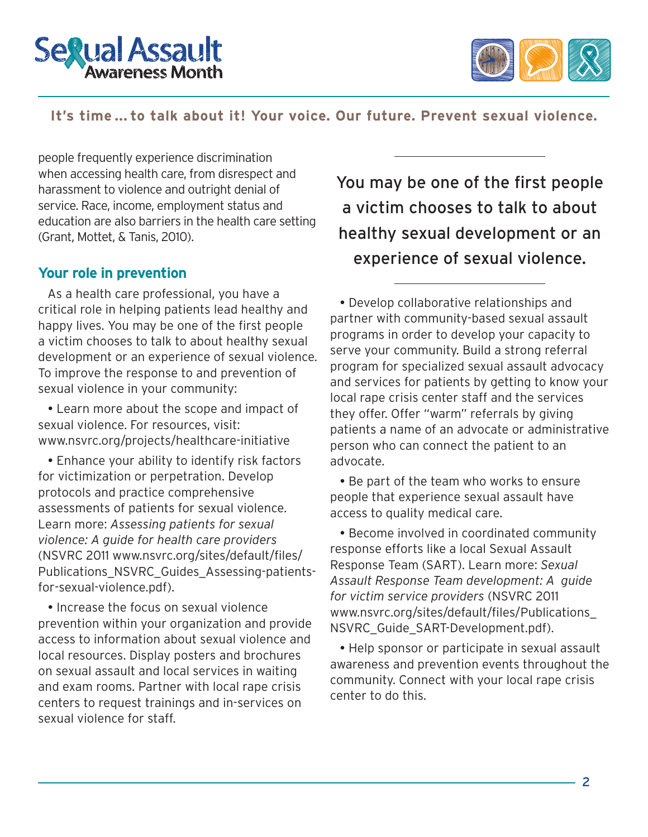



**IT'S TIME ... TO TALK ABOUT IT'S TIME ...** 

#### **It's time ... to talk about it! Your voice. Our future. Prevent sexual violence.**

people frequently experience discrimination when accessing health care, from disrespect and harassment to violence and outright denial of service. Race, income, employment status and education are also barriers in the health care setting (Grant, Mottet, & Tanis, 2010).

#### **Your role in prevention**

As a health care professional, you have a critical role in helping patients lead healthy and happy lives. You may be one of the first people a victim chooses to talk to about healthy sexual development or an experience of sexual violence. To improve the response to and prevention of sexual violence in your community:

 Learn more about the scope and impact of sexual violence. For resources, visit: [www.nsvrc.org/projects/healthcare-initiative](http://www.nsvrc.org/projects/healthcare-initiative)

 Enhance your ability to identify risk factors for victimization or perpetration. Develop protocols and practice comprehensive assessments of patients for sexual violence. Learn more: *Assessing patients for sexual violence: A guide for health care providers*  (NSVRC 2011 [www.nsvrc.org/sites/default/files/](http://www.nsvrc.org/sites/default/files/Publications_NSVRC_Guides_Assessing-patients-for-sexual-violence.pdf) [Publications\\_NSVRC\\_Guides\\_Assessing-patients](http://www.nsvrc.org/sites/default/files/Publications_NSVRC_Guides_Assessing-patients-for-sexual-violence.pdf)[for-sexual-violence.pdf](http://www.nsvrc.org/sites/default/files/Publications_NSVRC_Guides_Assessing-patients-for-sexual-violence.pdf)).

• Increase the focus on sexual violence prevention within your organization and provide access to information about sexual violence and local resources. Display posters and brochures on sexual assault and local services in waiting and exam rooms. Partner with local rape crisis centers to request trainings and in-services on sexual violence for staff.

You may be one of the first people a victim chooses to talk to about healthy sexual development or an experience of sexual violence.

 Develop collaborative relationships and partner with community-based sexual assault programs in order to develop your capacity to serve your community. Build a strong referral program for specialized sexual assault advocacy and services for patients by getting to know your local rape crisis center staff and the services they offer. Offer "warm" referrals by giving patients a name of an advocate or administrative person who can connect the patient to an advocate.

• Be part of the team who works to ensure people that experience sexual assault have access to quality medical care.

 Become involved in coordinated community response efforts like a local Sexual Assault Response Team (SART). Learn more: *Sexual Assault Response Team development: A guide for victim service providers* (NSVRC 2011 [www.nsvrc.org/sites/default/files/Publications\\_](http://www.nsvrc.org/sites/default/files/Publications_NSVRC_Guide_SART-Development.pdf) [NSVRC\\_Guide\\_SART-Development.pdf\).](http://www.nsvrc.org/sites/default/files/Publications_NSVRC_Guide_SART-Development.pdf)

 Help sponsor or participate in sexual assault awareness and prevention events throughout the community. Connect with your local rape crisis center to do this.